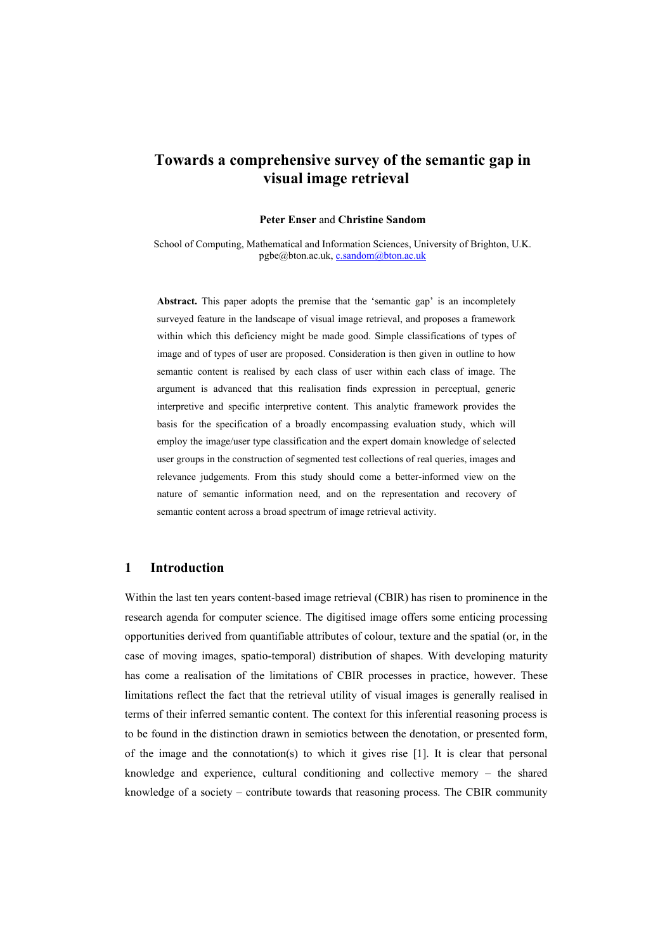# **Towards a comprehensive survey of the semantic gap in visual image retrieval**

### **Peter Enser** and **Christine Sandom**

School of Computing, Mathematical and Information Sciences, University of Brighton, U.K. pgbe@bton.ac.uk, c.sandom@bton.ac.uk

**Abstract.** This paper adopts the premise that the 'semantic gap' is an incompletely surveyed feature in the landscape of visual image retrieval, and proposes a framework within which this deficiency might be made good. Simple classifications of types of image and of types of user are proposed. Consideration is then given in outline to how semantic content is realised by each class of user within each class of image. The argument is advanced that this realisation finds expression in perceptual, generic interpretive and specific interpretive content. This analytic framework provides the basis for the specification of a broadly encompassing evaluation study, which will employ the image/user type classification and the expert domain knowledge of selected user groups in the construction of segmented test collections of real queries, images and relevance judgements. From this study should come a better-informed view on the nature of semantic information need, and on the representation and recovery of semantic content across a broad spectrum of image retrieval activity.

## **1 Introduction**

Within the last ten years content-based image retrieval (CBIR) has risen to prominence in the research agenda for computer science. The digitised image offers some enticing processing opportunities derived from quantifiable attributes of colour, texture and the spatial (or, in the case of moving images, spatio-temporal) distribution of shapes. With developing maturity has come a realisation of the limitations of CBIR processes in practice, however. These limitations reflect the fact that the retrieval utility of visual images is generally realised in terms of their inferred semantic content. The context for this inferential reasoning process is to be found in the distinction drawn in semiotics between the denotation, or presented form, of the image and the connotation(s) to which it gives rise [1]. It is clear that personal knowledge and experience, cultural conditioning and collective memory – the shared knowledge of a society – contribute towards that reasoning process. The CBIR community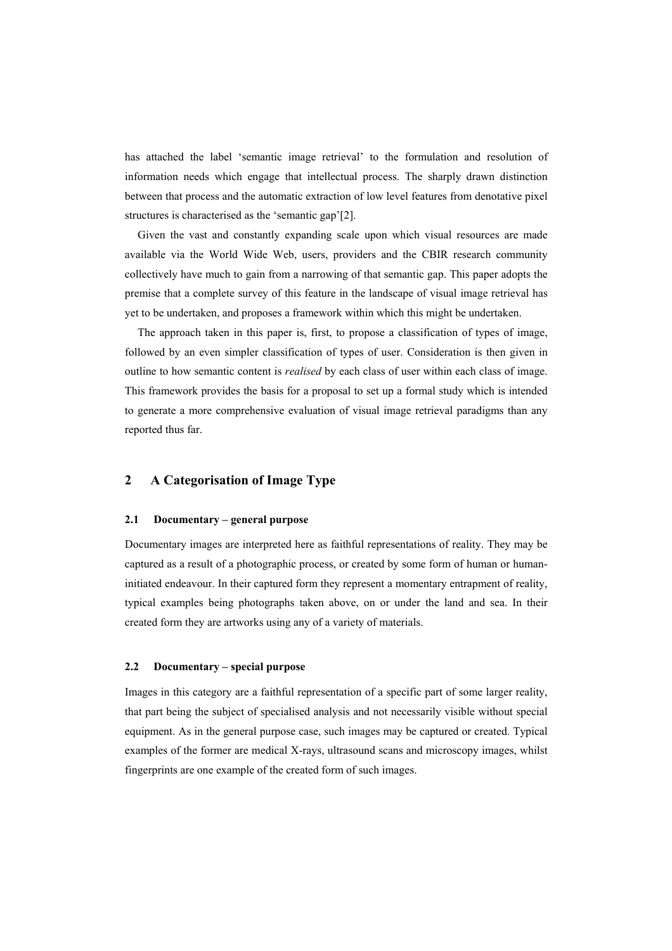has attached the label 'semantic image retrieval' to the formulation and resolution of information needs which engage that intellectual process. The sharply drawn distinction between that process and the automatic extraction of low level features from denotative pixel structures is characterised as the 'semantic gap'[2].

Given the vast and constantly expanding scale upon which visual resources are made available via the World Wide Web, users, providers and the CBIR research community collectively have much to gain from a narrowing of that semantic gap. This paper adopts the premise that a complete survey of this feature in the landscape of visual image retrieval has yet to be undertaken, and proposes a framework within which this might be undertaken.

The approach taken in this paper is, first, to propose a classification of types of image, followed by an even simpler classification of types of user. Consideration is then given in outline to how semantic content is *realised* by each class of user within each class of image. This framework provides the basis for a proposal to set up a formal study which is intended to generate a more comprehensive evaluation of visual image retrieval paradigms than any reported thus far.

# **2 A Categorisation of Image Type**

### **2.1 Documentary – general purpose**

Documentary images are interpreted here as faithful representations of reality. They may be captured as a result of a photographic process, or created by some form of humaninitiated endeavour. In their captured form they represent a momentary entrapment of reality, typical examples being photographs taken above, on or under the land and sea. In their created form they are artworks using any of a variety of materials.

### **2.2 Documentary – special purpose**

Images in this category are a faithful representation of a specific part of some larger reality, that part being the subject of specialised analysis and not necessarily visible without special equipment. As in the general purpose case, such images may be captured or created. Typical examples of the former are medical X-rays, ultrasound scans and microscopy images, whilst fingerprints are one example of the created form of such images.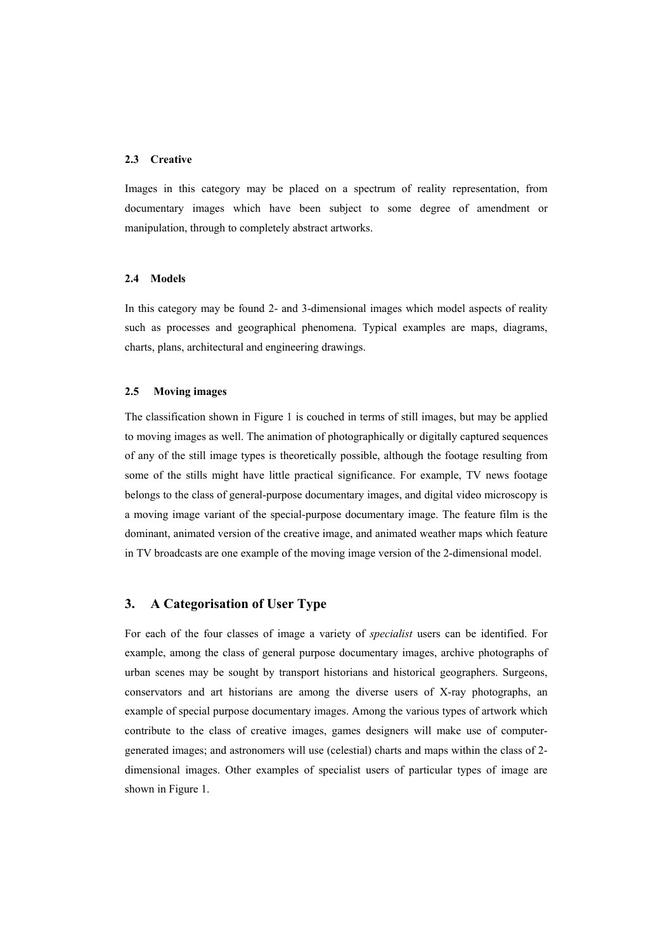### **2.3 Creative**

Images in this category may be placed on a spectrum of reality representation, from documentary images which have been subject to some degree of amendment or manipulation, through to completely abstract artworks.

### **2.4 Models**

In this category may be found 2- and 3-dimensional images which model aspects of reality such as processes and geographical phenomena. Typical examples are maps, diagrams, charts, plans, architectural and engineering drawings.

### **2.5 Moving images**

The classification shown in Figure 1 is couched in terms of still images, but may be applied to moving images as well. The animation of photographically or digitally captured sequences of any of the still image types is theoretically possible, although the footage resulting from some of the stills might have little practical significance. For example, TV news footage belongs to the class of general-purpose documentary images, and digital video microscopy is a moving image variant of the special-purpose documentary image. The feature film is the dominant, animated version of the creative image, and animated weather maps which feature in TV broadcasts are one example of the moving image version of the 2-dimensional model.

# **3. A Categorisation of User Type**

For each of the four classes of image a variety of *specialist* users can be identified. For example, among the class of general purpose documentary images, archive photographs of urban scenes may be sought by transport historians and historical geographers. Surgeons, conservators and art historians are among the diverse users of X-ray photographs, an example of special purpose documentary images. Among the various types of artwork which contribute to the class of creative images, games designers will make use of computergenerated images; and astronomers will use (celestial) charts and maps within the class of 2 dimensional images. Other examples of specialist users of particular types of image are shown in Figure 1.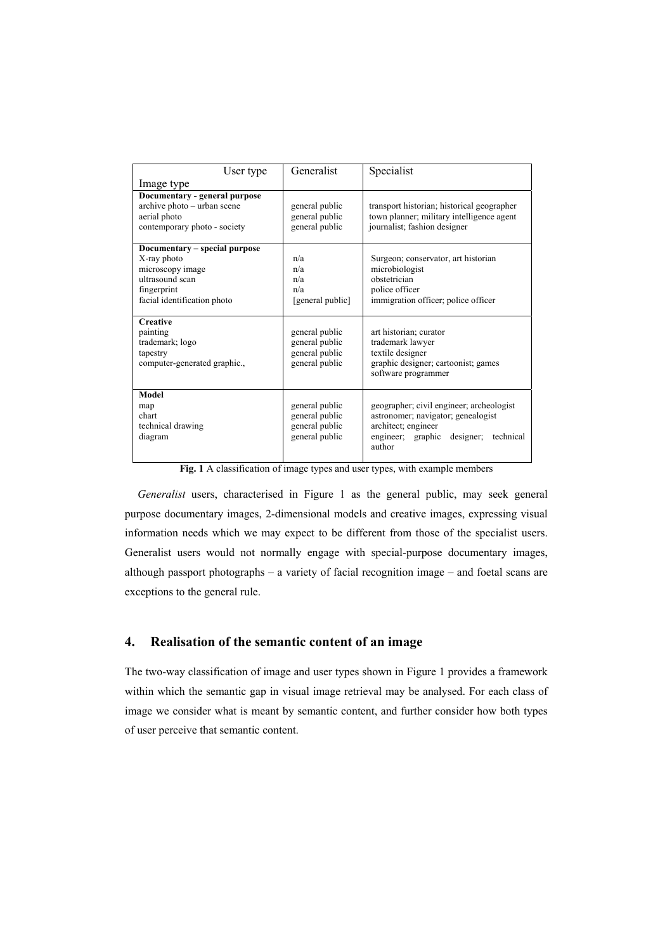| User type                                                                                                                         | Generalist                                                           | Specialist                                                                                                                                                     |
|-----------------------------------------------------------------------------------------------------------------------------------|----------------------------------------------------------------------|----------------------------------------------------------------------------------------------------------------------------------------------------------------|
| Image type                                                                                                                        |                                                                      |                                                                                                                                                                |
| Documentary - general purpose<br>archive photo – urban scene<br>aerial photo<br>contemporary photo - society                      | general public<br>general public<br>general public                   | transport historian; historical geographer<br>town planner; military intelligence agent<br>journalist; fashion designer                                        |
| Documentary – special purpose<br>X-ray photo<br>microscopy image<br>ultrasound scan<br>fingerprint<br>facial identification photo | n/a<br>n/a<br>n/a<br>n/a<br>[general public]                         | Surgeon; conservator, art historian<br>microbiologist<br>obstetrician<br>police officer<br>immigration officer; police officer                                 |
| <b>Creative</b><br>painting<br>trademark; logo<br>tapestry<br>computer-generated graphic.,                                        | general public<br>general public<br>general public<br>general public | art historian; curator<br>trademark lawyer<br>textile designer<br>graphic designer; cartoonist; games<br>software programmer                                   |
| Model<br>map<br>chart<br>technical drawing<br>diagram                                                                             | general public<br>general public<br>general public<br>general public | geographer; civil engineer; archeologist<br>astronomer; navigator; genealogist<br>architect; engineer<br>engineer; graphic<br>designer;<br>technical<br>author |

**Fig. 1** A classification of image types and user types, with example members

*Generalist* users, characterised in Figure 1 as the general public, may seek general purpose documentary images, 2-dimensional models and creative images, expressing visual information needs which we may expect to be different from those of the specialist users. Generalist users would not normally engage with special-purpose documentary images, although passport photographs – a variety of facial recognition image – and foetal scans are exceptions to the general rule.

# **4. Realisation of the semantic content of an image**

The two-way classification of image and user types shown in Figure 1 provides a framework within which the semantic gap in visual image retrieval may be analysed. For each class of image we consider what is meant by semantic content, and further consider how both types of user perceive that semantic content.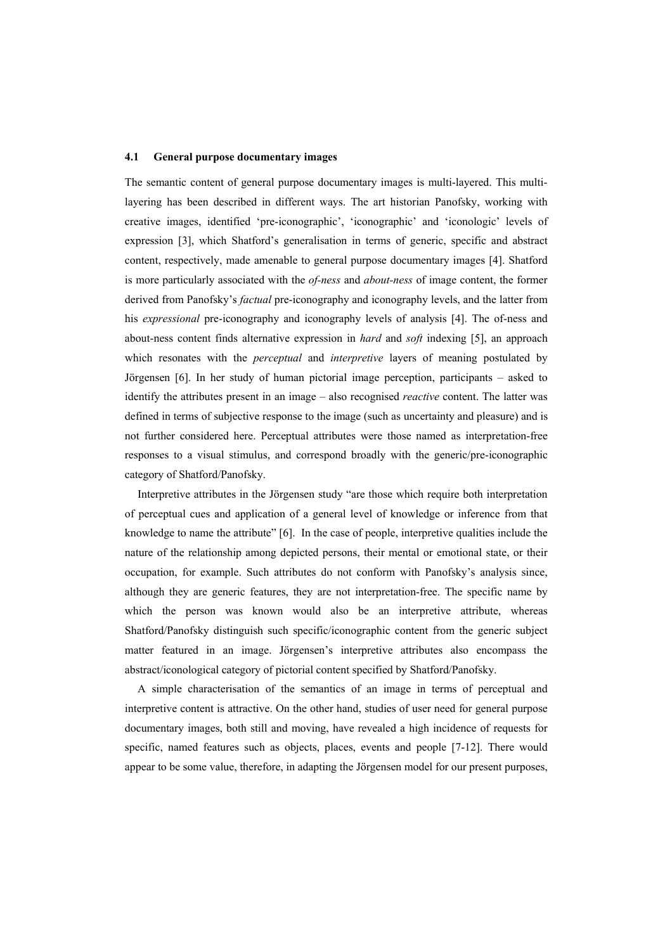#### **4.1 General purpose documentary images**

The semantic content of general purpose documentary images is multi-layered. This multilayering has been described in different ways. The art historian Panofsky, working with creative images, identified 'pre-iconographic', 'iconographic' and 'iconologic' levels of expression [3], which Shatford's generalisation in terms of generic, specific and abstract content, respectively, made amenable to general purpose documentary images [4]. Shatford is more particularly associated with the *of-ness* and *about-ness* of image content, the former derived from Panofsky's *factual* pre-iconography and iconography levels, and the latter from his *expressional* pre-iconography and iconography levels of analysis [4]. The of-ness and about-ness content finds alternative expression in *hard* and *soft* indexing [5], an approach which resonates with the *perceptual* and *interpretive* layers of meaning postulated by Jörgensen [6]. In her study of human pictorial image perception, participants – asked to identify the attributes present in an image – also recognised *reactive* content. The latter was defined in terms of subjective response to the image (such as uncertainty and pleasure) and is not further considered here. Perceptual attributes were those named as interpretation-free responses to a visual stimulus, and correspond broadly with the generic/pre-iconographic category of Shatford/Panofsky.

Interpretive attributes in the Jörgensen study "are those which require both interpretation of perceptual cues and application of a general level of knowledge or inference from that knowledge to name the attribute" [6]. In the case of people, interpretive qualities include the nature of the relationship among depicted persons, their mental or emotional state, or their occupation, for example. Such attributes do not conform with Panofsky's analysis since, although they are generic features, they are not interpretation-free. The specific name by which the person was known would also be an interpretive attribute, whereas Shatford/Panofsky distinguish such specific/iconographic content from the generic subject matter featured in an image. Jörgensen's interpretive attributes also encompass the abstract/iconological category of pictorial content specified by Shatford/Panofsky.

A simple characterisation of the semantics of an image in terms of perceptual and interpretive content is attractive. On the other hand, studies of user need for general purpose documentary images, both still and moving, have revealed a high incidence of requests for specific, named features such as objects, places, events and people [7-12]. There would appear to be some value, therefore, in adapting the Jörgensen model for our present purposes,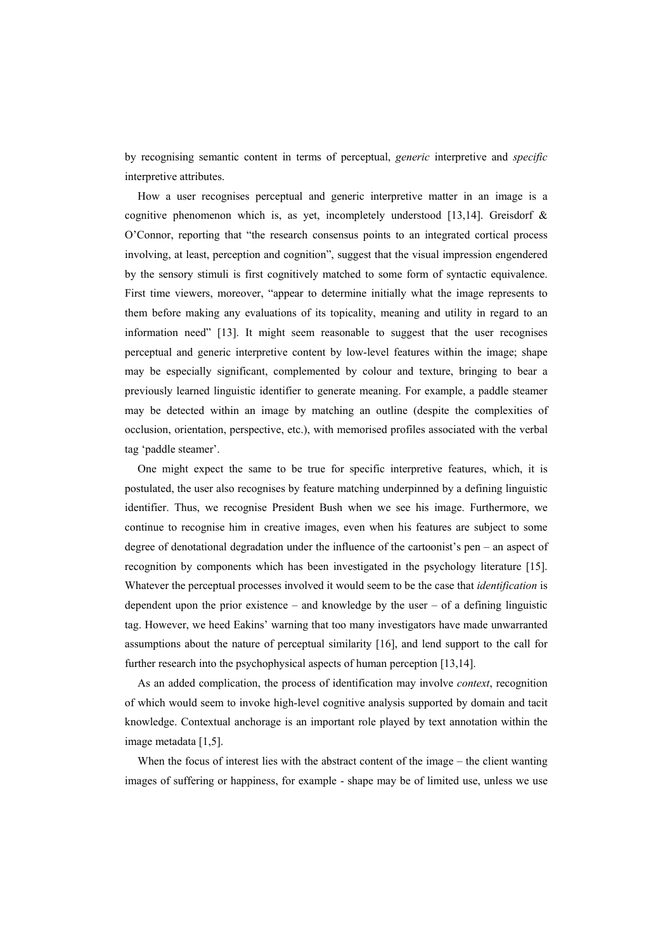by recognising semantic content in terms of perceptual, *generic* interpretive and *specific* interpretive attributes.

How a user recognises perceptual and generic interpretive matter in an image is a cognitive phenomenon which is, as yet, incompletely understood [13,14]. Greisdorf & O'Connor, reporting that "the research consensus points to an integrated cortical process involving, at least, perception and cognition", suggest that the visual impression engendered by the sensory stimuli is first cognitively matched to some form of syntactic equivalence. First time viewers, moreover, "appear to determine initially what the image represents to them before making any evaluations of its topicality, meaning and utility in regard to an information need" [13]. It might seem reasonable to suggest that the user recognises perceptual and generic interpretive content by low-level features within the image; shape may be especially significant, complemented by colour and texture, bringing to bear a previously learned linguistic identifier to generate meaning. For example, a paddle steamer may be detected within an image by matching an outline (despite the complexities of occlusion, orientation, perspective, etc.), with memorised profiles associated with the verbal tag 'paddle steamer'.

One might expect the same to be true for specific interpretive features, which, it is postulated, the user also recognises by feature matching underpinned by a defining linguistic identifier. Thus, we recognise President Bush when we see his image. Furthermore, we continue to recognise him in creative images, even when his features are subject to some degree of denotational degradation under the influence of the cartoonist's pen – an aspect of recognition by components which has been investigated in the psychology literature [15]. Whatever the perceptual processes involved it would seem to be the case that *identification* is dependent upon the prior existence – and knowledge by the user – of a defining linguistic tag. However, we heed Eakins' warning that too many investigators have made unwarranted assumptions about the nature of perceptual similarity [16], and lend support to the call for further research into the psychophysical aspects of human perception [13,14].

As an added complication, the process of identification may involve *context*, recognition of which would seem to invoke high-level cognitive analysis supported by domain and tacit knowledge. Contextual anchorage is an important role played by text annotation within the image metadata [1,5].

When the focus of interest lies with the abstract content of the image – the client wanting images of suffering or happiness, for example - shape may be of limited use, unless we use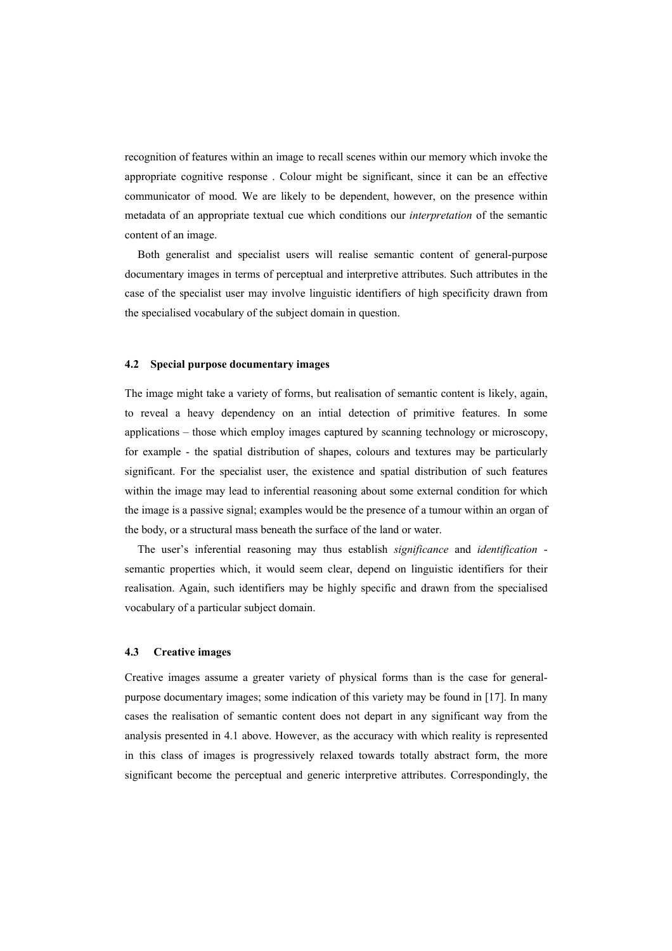recognition of features within an image to recall scenes within our memory which invoke the appropriate cognitive response . Colour might be significant, since it can be an effective communicator of mood. We are likely to be dependent, however, on the presence within metadata of an appropriate textual cue which conditions our *interpretation* of the semantic content of an image.

Both generalist and specialist users will realise semantic content of general-purpose documentary images in terms of perceptual and interpretive attributes. Such attributes in the case of the specialist user may involve linguistic identifiers of high specificity drawn from the specialised vocabulary of the subject domain in question.

### **4.2 Special purpose documentary images**

The image might take a variety of forms, but realisation of semantic content is likely, again, to reveal a heavy dependency on an intial detection of primitive features. In some applications – those which employ images captured by scanning technology or microscopy, for example - the spatial distribution of shapes, colours and textures may be particularly significant. For the specialist user, the existence and spatial distribution of such features within the image may lead to inferential reasoning about some external condition for which the image is a passive signal; examples would be the presence of a tumour within an organ of the body, or a structural mass beneath the surface of the land or water.

The user's inferential reasoning may thus establish *significance* and *identification* semantic properties which, it would seem clear, depend on linguistic identifiers for their realisation. Again, such identifiers may be highly specific and drawn from the specialised vocabulary of a particular subject domain.

#### **4.3 Creative images**

Creative images assume a greater variety of physical forms than is the case for generalpurpose documentary images; some indication of this variety may be found in [17]. In many cases the realisation of semantic content does not depart in any significant way from the analysis presented in 4.1 above. However, as the accuracy with which reality is represented in this class of images is progressively relaxed towards totally abstract form, the more significant become the perceptual and generic interpretive attributes. Correspondingly, the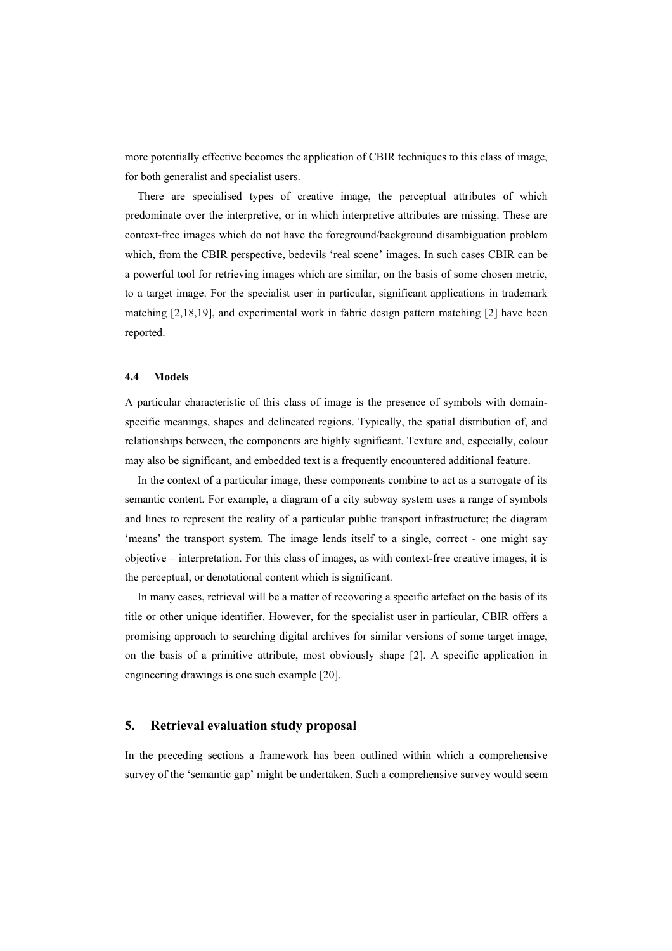more potentially effective becomes the application of CBIR techniques to this class of image, for both generalist and specialist users.

There are specialised types of creative image, the perceptual attributes of which predominate over the interpretive, or in which interpretive attributes are missing. These are context-free images which do not have the foreground/background disambiguation problem which, from the CBIR perspective, bedevils 'real scene' images. In such cases CBIR can be a powerful tool for retrieving images which are similar, on the basis of some chosen metric, to a target image. For the specialist user in particular, significant applications in trademark matching [2,18,19], and experimental work in fabric design pattern matching [2] have been reported.

### **4.4 Models**

A particular characteristic of this class of image is the presence of symbols with domainspecific meanings, shapes and delineated regions. Typically, the spatial distribution of, and relationships between, the components are highly significant. Texture and, especially, colour may also be significant, and embedded text is a frequently encountered additional feature.

In the context of a particular image, these components combine to act as a surrogate of its semantic content. For example, a diagram of a city subway system uses a range of symbols and lines to represent the reality of a particular public transport infrastructure; the diagram 'means' the transport system. The image lends itself to a single, correct - one might say objective – interpretation. For this class of images, as with context-free creative images, it is the perceptual, or denotational content which is significant.

In many cases, retrieval will be a matter of recovering a specific artefact on the basis of its title or other unique identifier. However, for the specialist user in particular, CBIR offers a promising approach to searching digital archives for similar versions of some target image, on the basis of a primitive attribute, most obviously shape [2]. A specific application in engineering drawings is one such example [20].

# **5. Retrieval evaluation study proposal**

In the preceding sections a framework has been outlined within which a comprehensive survey of the 'semantic gap' might be undertaken. Such a comprehensive survey would seem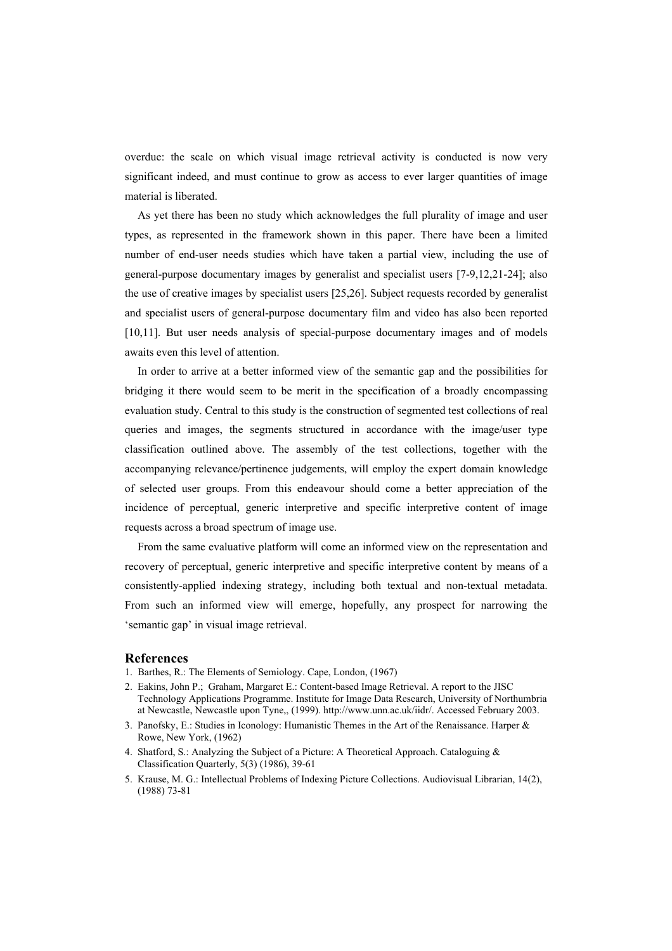overdue: the scale on which visual image retrieval activity is conducted is now very significant indeed, and must continue to grow as access to ever larger quantities of image material is liberated.

As yet there has been no study which acknowledges the full plurality of image and user types, as represented in the framework shown in this paper. There have been a limited number of end-user needs studies which have taken a partial view, including the use of general-purpose documentary images by generalist and specialist users [7-9,12,21-24]; also the use of creative images by specialist users [25,26]. Subject requests recorded by generalist and specialist users of general-purpose documentary film and video has also been reported [10,11]. But user needs analysis of special-purpose documentary images and of models awaits even this level of attention.

In order to arrive at a better informed view of the semantic gap and the possibilities for bridging it there would seem to be merit in the specification of a broadly encompassing evaluation study. Central to this study is the construction of segmented test collections of real queries and images, the segments structured in accordance with the image/user type classification outlined above. The assembly of the test collections, together with the accompanying relevance/pertinence judgements, will employ the expert domain knowledge of selected user groups. From this endeavour should come a better appreciation of the incidence of perceptual, generic interpretive and specific interpretive content of image requests across a broad spectrum of image use.

From the same evaluative platform will come an informed view on the representation and recovery of perceptual, generic interpretive and specific interpretive content by means of a consistently-applied indexing strategy, including both textual and non-textual metadata. From such an informed view will emerge, hopefully, any prospect for narrowing the 'semantic gap' in visual image retrieval.

#### **References**

- 1. Barthes, R.: The Elements of Semiology. Cape, London, (1967)
- 2. Eakins, John P.; Graham, Margaret E.: Content-based Image Retrieval. A report to the JISC Technology Applications Programme. Institute for Image Data Research, University of Northumbria at Newcastle, Newcastle upon Tyne,, (1999). http://www.unn.ac.uk/iidr/. Accessed February 2003.
- 3. Panofsky, E.: Studies in Iconology: Humanistic Themes in the Art of the Renaissance. Harper & Rowe, New York, (1962)
- 4. Shatford, S.: Analyzing the Subject of a Picture: A Theoretical Approach. Cataloguing & Classification Quarterly, 5(3) (1986), 39-61
- 5. Krause, M. G.: Intellectual Problems of Indexing Picture Collections. Audiovisual Librarian, 14(2), (1988) 73-81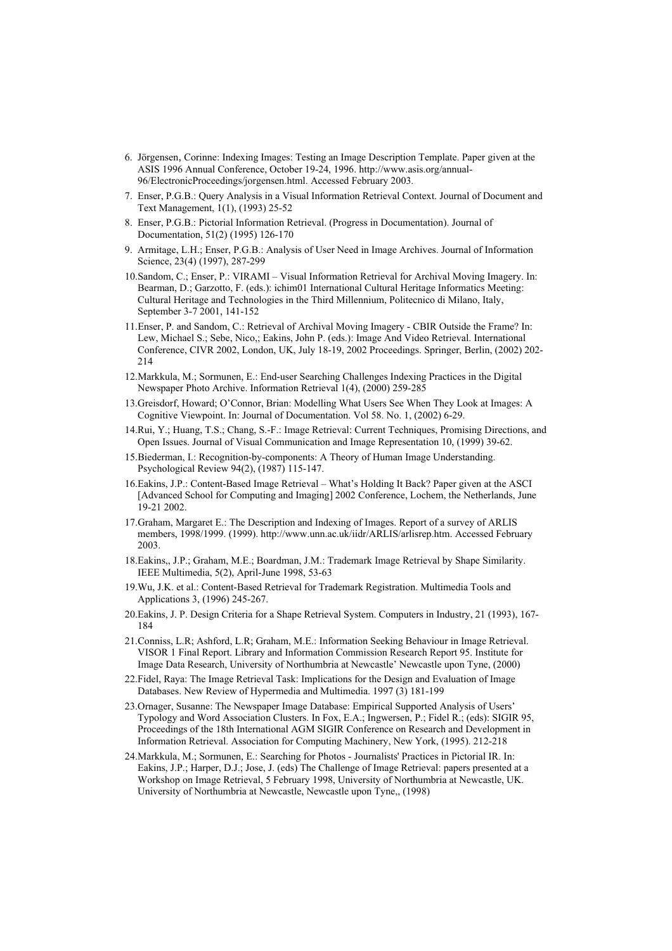- 6. Jörgensen, Corinne: Indexing Images: Testing an Image Description Template. Paper given at the ASIS 1996 Annual Conference, October 19-24, 1996. http://www.asis.org/annual-96/ElectronicProceedings/jorgensen.html. Accessed February 2003.
- 7. Enser, P.G.B.: Query Analysis in a Visual Information Retrieval Context. Journal of Document and Text Management, 1(1), (1993) 25-52
- 8. Enser, P.G.B.: Pictorial Information Retrieval. (Progress in Documentation). Journal of Documentation, 51(2) (1995) 126-170
- 9. Armitage, L.H.; Enser, P.G.B.: Analysis of User Need in Image Archives. Journal of Information Science, 23(4) (1997), 287-299
- 10. Sandom, C.; Enser, P.: VIRAMI Visual Information Retrieval for Archival Moving Imagery. In: Bearman, D.; Garzotto, F. (eds.): ichim01 International Cultural Heritage Informatics Meeting: Cultural Heritage and Technologies in the Third Millennium, Politecnico di Milano, Italy, September 3-7 2001, 141-152
- 11. Enser, P. and Sandom, C.: Retrieval of Archival Moving Imagery CBIR Outside the Frame? In: Lew, Michael S.; Sebe, Nico,; Eakins, John P. (eds.): Image And Video Retrieval. International Conference, CIVR 2002, London, UK, July 18-19, 2002 Proceedings. Springer, Berlin, (2002) 202- 214
- 12. Markkula, M.; Sormunen, E.: End-user Searching Challenges Indexing Practices in the Digital Newspaper Photo Archive. Information Retrieval 1(4), (2000) 259-285
- 13. Greisdorf, Howard; O'Connor, Brian: Modelling What Users See When They Look at Images: A Cognitive Viewpoint. In: Journal of Documentation. Vol 58. No. 1, (2002) 6-29.
- 14. Rui, Y.; Huang, T.S.; Chang, S.-F.: Image Retrieval: Current Techniques, Promising Directions, and Open Issues. Journal of Visual Communication and Image Representation 10, (1999) 39-62.
- 15. Biederman, I.: Recognition-by-components: A Theory of Human Image Understanding. Psychological Review 94(2), (1987) 115-147.
- 16. Eakins, J.P.: Content-Based Image Retrieval What's Holding It Back? Paper given at the ASCI [Advanced School for Computing and Imaging] 2002 Conference, Lochem, the Netherlands, June 19-21 2002.
- 17. Graham, Margaret E.: The Description and Indexing of Images. Report of a survey of ARLIS members, 1998/1999. (1999). http://www.unn.ac.uk/iidr/ARLIS/arlisrep.htm. Accessed February 2003.
- 18. Eakins,, J.P.; Graham, M.E.; Boardman, J.M.: Trademark Image Retrieval by Shape Similarity. IEEE Multimedia, 5(2), April-June 1998, 53-63
- 19. Wu, J.K. et al.: Content-Based Retrieval for Trademark Registration. Multimedia Tools and Applications 3, (1996) 245-267.
- 20. Eakins, J. P. Design Criteria for a Shape Retrieval System. Computers in Industry, 21 (1993), 167- 184
- 21. Conniss, L.R; Ashford, L.R; Graham, M.E.: Information Seeking Behaviour in Image Retrieval. VISOR 1 Final Report. Library and Information Commission Research Report 95. Institute for Image Data Research, University of Northumbria at Newcastle' Newcastle upon Tyne, (2000)
- 22. Fidel, Raya: The Image Retrieval Task: Implications for the Design and Evaluation of Image Databases. New Review of Hypermedia and Multimedia. 1997 (3) 181-199
- 23. Ornager, Susanne: The Newspaper Image Database: Empirical Supported Analysis of Users' Typology and Word Association Clusters. In Fox, E.A.; Ingwersen, P.; Fidel R.; (eds): SIGIR 95, Proceedings of the 18th International AGM SIGIR Conference on Research and Development in Information Retrieval. Association for Computing Machinery, New York, (1995). 212-218
- 24. Markkula, M.; Sormunen, E.: Searching for Photos Journalists' Practices in Pictorial IR. In: Eakins, J.P.; Harper, D.J.; Jose, J. (eds) The Challenge of Image Retrieval: papers presented at a Workshop on Image Retrieval, 5 February 1998, University of Northumbria at Newcastle, UK. University of Northumbria at Newcastle, Newcastle upon Tyne,, (1998)